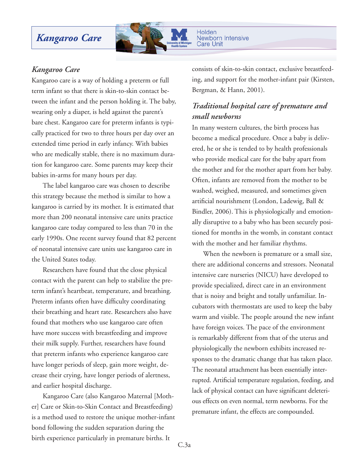# *Kangaroo Care*



Holden **Newborn Intensive Care Unit** 

### *Kangaroo Care*

Kangaroo care is a way of holding a preterm or full term infant so that there is skin-to-skin contact between the infant and the person holding it. The baby, wearing only a diaper, is held against the parent's bare chest. Kangaroo care for preterm infants is typically practiced for two to three hours per day over an extended time period in early infancy. With babies who are medically stable, there is no maximum duration for kangaroo care. Some parents may keep their babies in-arms for many hours per day.

 The label kangaroo care was chosen to describe this strategy because the method is similar to how a kangaroo is carried by its mother. It is estimated that more than 200 neonatal intensive care units practice kangaroo care today compared to less than 70 in the early 1990s. One recent survey found that 82 percent of neonatal intensive care units use kangaroo care in the United States today.

 Researchers have found that the close physical contact with the parent can help to stabilize the preterm infant's heartbeat, temperature, and breathing. Preterm infants often have difficulty coordinating their breathing and heart rate. Researchers also have found that mothers who use kangaroo care often have more success with breastfeeding and improve their milk supply. Further, researchers have found that preterm infants who experience kangaroo care have longer periods of sleep, gain more weight, decrease their crying, have longer periods of alertness, and earlier hospital discharge.

 Kangaroo Care (also Kangaroo Maternal [Mother] Care or Skin-to-Skin Contact and Breastfeeding) is a method used to restore the unique mother-infant bond following the sudden separation during the birth experience particularly in premature births. It

consists of skin-to-skin contact, exclusive breastfeeding, and support for the mother-infant pair (Kirsten, Bergman, & Hann, 2001).

## *Traditional hospital care of premature and small newborns*

In many western cultures, the birth process has become a medical procedure. Once a baby is delivered, he or she is tended to by health professionals who provide medical care for the baby apart from the mother and for the mother apart from her baby. Often, infants are removed from the mother to be washed, weighed, measured, and sometimes given artificial nourishment (London, Ladewig, Ball & Bindler, 2006). This is physiologically and emotionally disruptive to a baby who has been securely positioned for months in the womb, in constant contact with the mother and her familiar rhythms.

 When the newborn is premature or a small size, there are additional concerns and stressors. Neonatal intensive care nurseries (NICU) have developed to provide specialized, direct care in an environment that is noisy and bright and totally unfamiliar. Incubators with thermostats are used to keep the baby warm and visible. The people around the new infant have foreign voices. The pace of the environment is remarkably different from that of the uterus and physiologically the newborn exhibits increased responses to the dramatic change that has taken place. The neonatal attachment has been essentially interrupted. Artificial temperature regulation, feeding, and lack of physical contact can have significant deleterious effects on even normal, term newborns. For the premature infant, the effects are compounded.

C.3a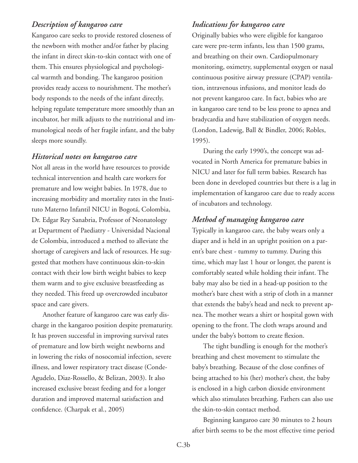### *Description of kangaroo care*

Kangaroo care seeks to provide restored closeness of the newborn with mother and/or father by placing the infant in direct skin-to-skin contact with one of them. This ensures physiological and psychological warmth and bonding. The kangaroo position provides ready access to nourishment. The mother's body responds to the needs of the infant directly, helping regulate temperature more smoothly than an incubator, her milk adjusts to the nutritional and immunological needs of her fragile infant, and the baby sleeps more soundly.

#### *Historical notes on kangaroo care*

Not all areas in the world have resources to provide technical intervention and health care workers for premature and low weight babies. In 1978, due to increasing morbidity and mortality rates in the Instituto Materno Infantil NICU in Bogotá, Colombia, Dr. Edgar Rey Sanabria, Professor of Neonatology at Department of Paediatry - Universidad Nacional de Colombia, introduced a method to alleviate the shortage of caregivers and lack of resources. He suggested that mothers have continuous skin-to-skin contact with their low birth weight babies to keep them warm and to give exclusive breastfeeding as they needed. This freed up overcrowded incubator space and care givers.

 Another feature of kangaroo care was early discharge in the kangaroo position despite prematurity. It has proven successful in improving survival rates of premature and low birth weight newborns and in lowering the risks of nosocomial infection, severe illness, and lower respiratory tract disease (Conde-Agudelo, Diaz-Rossello, & Belizan, 2003). It also increased exclusive breast feeding and for a longer duration and improved maternal satisfaction and confidence. (Charpak et al., 2005)

### *Indications for kangaroo care*

Originally babies who were eligible for kangaroo care were pre-term infants, less than 1500 grams, and breathing on their own. Cardiopulmonary monitoring, oximetry, supplemental oxygen or nasal continuous positive airway pressure (CPAP) ventilation, intravenous infusions, and monitor leads do not prevent kangaroo care. In fact, babies who are in kangaroo care tend to be less prone to apnea and bradycardia and have stabilization of oxygen needs. (London, Ladewig, Ball & Bindler, 2006; Robles, 1995).

 During the early 1990's, the concept was advocated in North America for premature babies in NICU and later for full term babies. Research has been done in developed countries but there is a lag in implementation of kangaroo care due to ready access of incubators and technology.

### *Method of managing kangaroo care*

Typically in kangaroo care, the baby wears only a diaper and is held in an upright position on a parent's bare chest - tummy to tummy. During this time, which may last 1 hour or longer, the parent is comfortably seated while holding their infant. The baby may also be tied in a head-up position to the mother's bare chest with a strip of cloth in a manner that extends the baby's head and neck to prevent apnea. The mother wears a shirt or hospital gown with opening to the front. The cloth wraps around and under the baby's bottom to create flexion.

 The tight bundling is enough for the mother's breathing and chest movement to stimulate the baby's breathing. Because of the close confines of being attached to his (her) mother's chest, the baby is enclosed in a high carbon dioxide environment which also stimulates breathing. Fathers can also use the skin-to-skin contact method.

 Beginning kangaroo care 30 minutes to 2 hours after birth seems to be the most effective time period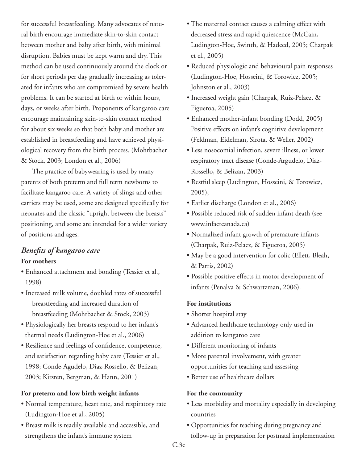for successful breastfeeding. Many advocates of natural birth encourage immediate skin-to-skin contact between mother and baby after birth, with minimal disruption. Babies must be kept warm and dry. This method can be used continuously around the clock or for short periods per day gradually increasing as tolerated for infants who are compromised by severe health problems. It can be started at birth or within hours, days, or weeks after birth. Proponents of kangaroo care encourage maintaining skin-to-skin contact method for about six weeks so that both baby and mother are established in breastfeeding and have achieved physiological recovery from the birth process. (Mohrbacher & Stock, 2003; London et al., 2006)

 The practice of babywearing is used by many parents of both preterm and full term newborns to facilitate kangaroo care. A variety of slings and other carriers may be used, some are designed specifically for neonates and the classic "upright between the breasts" positioning, and some are intended for a wider variety of positions and ages.

## *Benefits of kangaroo care* **For mothers**

- Enhanced attachment and bonding (Tessier et al., 1998)
- Increased milk volume, doubled rates of successful breastfeeding and increased duration of breastfeeding (Mohrbacher & Stock, 2003)
- Physiologically her breasts respond to her infant's thermal needs (Ludington-Hoe et al., 2006)
- Resilience and feelings of confidence, competence, and satisfaction regarding baby care (Tessier et al., 1998; Conde-Agudelo, Diaz-Rossello, & Belizan, 2003; Kirsten, Bergman, & Hann, 2001)

### **For preterm and low birth weight infants**

- Normal temperature, heart rate, and respiratory rate (Ludington-Hoe et al., 2005)
- Breast milk is readily available and accessible, and strengthens the infant's immune system
- The maternal contact causes a calming effect with decreased stress and rapid quiescence (McCain, Ludington-Hoe, Swinth, & Hadeed, 2005; Charpak et el., 2005)
- Reduced physiologic and behavioural pain responses (Ludington-Hoe, Hosseini, & Torowicz, 2005; Johnston et al., 2003)
- Increased weight gain (Charpak, Ruiz-Pelaez, & Figueroa, 2005)
- Enhanced mother-infant bonding (Dodd, 2005) Positive effects on infant's cognitive development (Feldman, Eidelman, Sirota, & Weller, 2002)
- Less nosocomial infection, severe illness, or lower respiratory tract disease (Conde-Argudelo, Diaz-Rossello, & Belizan, 2003)
- Restful sleep (Ludington, Hosseini, & Torowicz, 2005);
- Earlier discharge (London et al., 2006)
- Possible reduced risk of sudden infant death (see www.infactcanada.ca)
- Normalized infant growth of premature infants (Charpak, Ruiz-Pelaez, & Figueroa, 2005)
- May be a good intervention for colic (Ellett, Bleah, & Parris, 2002)
- Possible positive effects in motor development of infants (Penalva & Schwartzman, 2006).

### **For institutions**

- Shorter hospital stay
- Advanced healthcare technology only used in addition to kangaroo care
- Different monitoring of infants
- More parental involvement, with greater opportunities for teaching and assessing
- Better use of healthcare dollars

## **For the community**

- Less morbidity and mortality especially in developing countries
- Opportunities for teaching during pregnancy and follow-up in preparation for postnatal implementation